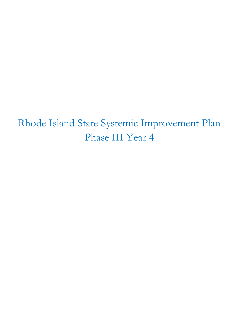Rhode Island State Systemic Improvement Plan Phase III Year 4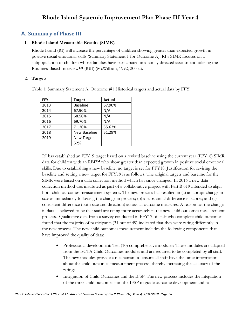# **A. Summary of Phase III**

## **1. Rhode Island Measurable Results (SIMR)**

Rhode Island (RI) will increase the percentage of children showing greater than expected growth in positive social emotional skills (Summary Statement 1 for Outcome A). RI's SIMR focuses on a subpopulation of children whose families have participated in a family directed assessment utilizing the Routines-Based Interview™ (RBI) (McWilliam, 1992, 2005a).

## 2. **Target**s

| <b>FFY</b> | <b>Target</b>     | Actual |
|------------|-------------------|--------|
| 2013       | <b>Baseline</b>   | 67.90% |
| 2014       | 67.90%            | N/A    |
| 2015       | 68.50%            | N/A    |
| 2016       | 69.70%            | N/A    |
| 2017       | 71.20%            | 55.62% |
| 2018       | New Baseline      | 51.29% |
| 2019       | <b>New Target</b> |        |
|            | 52%               |        |

Table 1: Summary Statement A, Outcome #1 Historical targets and actual data by FFY.

RI has established an FFY19 target based on a revised baseline using the current year (FFY18) SIMR data for children with an RBI™ who show greater than expected growth in positive social emotional skills. Due to establishing a new baseline, no target is set for FFY18. Justification for revising the baseline and setting a new target for FFY19 is as follows. The original targets and baseline for the SIMR were based on a data collection method which has since changed. In 2016 a new data collection method was instituted as part of a collaborative project with Part B 619 intended to align both child outcomes measurement systems. The new process has resulted in (a) an abrupt change in scores immediately following the change in process; (b) a substantial difference in scores; and (c) consistent difference (both size and direction) across all outcome measures. A reason for the change in data is believed to be that staff are rating more accurately in the new child outcomes measurement process. Qualitative data from a survey conducted in FFY17 of staff who complete child outcomes found that the majority of participants (31 out of 49) indicated that they were rating differently in the new process. The new child outcomes measurement includes the following components that have improved the quality of data:

- Professional development: Ten (10) comprehensive modules: These modules are adapted from the ECTA Child Outcomes modules and are required to be completed by all staff. The new modules provide a mechanism to ensure all staff have the same information about the child outcomes measurement process, thereby increasing the accuracy of the ratings.
- Integration of Child Outcomes and the IFSP: The new process includes the integration of the three child outcomes into the IFSP to guide outcome development and to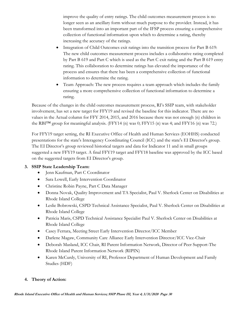improve the quality of entry ratings. The child outcomes measurement process is no longer seen as an ancillary form without much purpose to the provider. Instead, it has been transformed into an important part of the IFSP process ensuring a comprehensive collection of functional information upon which to determine a rating, thereby increasing the accuracy of the ratings.

- Integration of Child Outcomes exit ratings into the transition process for Part B 619: The new child outcomes measurement process includes a collaborative rating completed by Part B 619 and Part C which is used as the Part C exit rating and the Part B 619 entry rating. This collaboration to determine ratings has elevated the importance of the process and ensures that there has been a comprehensive collection of functional information to determine the rating.
- Team Approach: The new process requires a team approach which includes the family ensuring a more comprehensive collection of functional information to determine a rating.

Because of the changes in the child outcomes measurement process, RI's SSIP team, with stakeholder involvement, has set a new target for FFY19 and revised the baseline for this indicator. There are no values in the Actual column for FFY 2014, 2015, and 2016 because there was not enough (n) children in the RBI<sup>TM</sup> group for meaningful analysis. (FFY14 (n) was 0; FFY15 (n) was 4; and FFY16 (n) was 72.)

For FFY19 target setting, the RI Executive Office of Health and Human Services (EOHHS) conducted presentations for the state's Interagency Coordinating Council (ICC) and the state's EI Director's group. The EI Director's group reviewed historical targets and data for Indicator 11 and in small groups suggested a new FFY19 target. A final FFY19 target and FFY18 baseline was approved by the ICC based on the suggested targets from EI Director's group.

## **3. SSIP State Leadership Team:**

- Jenn Kaufman, Part C Coordinator
- Sara Lowell, Early Intervention Coordinator
- Christine Robin Payne, Part C Data Manager
- Donna Novak, Quality Improvement and TA Specialist, Paul V. Sherlock Center on Disabilities at Rhode Island College
- Leslie Bobrowski, CSPD Technical Assistance Specialist, Paul V. Sherlock Center on Disabilities at Rhode Island College
- Patricia Maris, CSPD Technical Assistance Specialist Paul V. Sherlock Center on Disabilities at Rhode Island College
- Casey Ferrara, Meeting Street Early Intervention Director/ICC Member
- Darlene Magaw, Community Care Alliance Early Intervention Director/ICC Vice-Chair
- Deborah Masland, ICC Chair, RI Parent Information Network, Director of Peer Support-The Rhode Island Parent Information Network (RIPIN)
- Karen McCurdy, University of RI, Professor Department of Human Development and Family Studies (HDF)

## **4. Theory of Action:**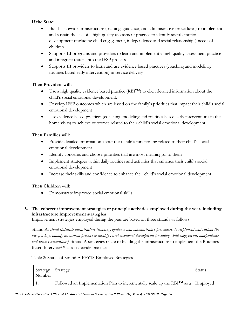## **If the State:**

- Builds statewide infrastructure (training, guidance, and administrative procedures) to implement and sustain the use of a high quality assessment practice to identify social emotional development (including child engagement, independence and social relationships) needs of children
- Supports EI programs and providers to learn and implement a high quality assessment practice and integrate results into the IFSP process
- Supports EI providers to learn and use evidence based practices (coaching and modeling, routines based early intervention) in service delivery

## **Then Providers will:**

- Use a high quality evidence based practice (RBI™) to elicit detailed information about the child's social emotional development.
- Develop IFSP outcomes which are based on the family's priorities that impact their child's social emotional development
- Use evidence based practices (coaching, modeling and routines based early interventions in the home visits) to achieve outcomes related to their child's social emotional development

## **Then Families will:**

- Provide detailed information about their child's functioning related to their child's social emotional development
- Identify concerns and choose priorities that are most meaningful to them
- Implement strategies within daily routines and activities that enhance their child's social emotional development
- Increase their skills and confidence to enhance their child's social emotional development

## **Then Children will:**

Demonstrate improved social emotional skills

## **5. The coherent improvement strategies or principle activities employed during the year, including infrastructure improvement strategies**

Improvement strategies employed during the year are based on three strands as follows:

Strand A: *Build statewide infrastructure (training, guidance and administrative procedures) to implement and sustain the use of a high-quality assessment practice to identify social emotional development (including child engagement, independence and social relationships).* Strand A strategies relate to building the infrastructure to implement the Routines Based Interview™ as a statewide practice.

## Table 2: Status of Strand A FFY18 Employed Strategies

| Strategy<br>Number | Strategy                                                                          | Status |
|--------------------|-----------------------------------------------------------------------------------|--------|
|                    | Followed an Implementation Plan to incrementally scale up the RBITM as a Employed |        |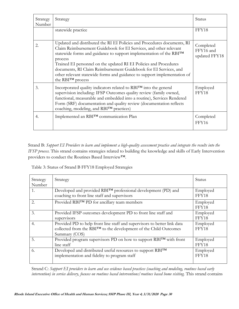| Strategy<br>Number | Strategy                                                                                                                                                                                                                                                                                                                                                                                                                                                                             | Status                                  |
|--------------------|--------------------------------------------------------------------------------------------------------------------------------------------------------------------------------------------------------------------------------------------------------------------------------------------------------------------------------------------------------------------------------------------------------------------------------------------------------------------------------------|-----------------------------------------|
|                    | statewide practice                                                                                                                                                                                                                                                                                                                                                                                                                                                                   | FFY18                                   |
| 2.                 | Updated and distributed the RI EI Policies and Procedures documents, RI<br>Claim Reimbursement Guidebook for EI Services, and other relevant<br>statewide forms and guidance to support implementation of the RBITM<br>process<br>Trained EI personnel on the updated RI EI Policies and Procedures<br>documents, RI Claim Reimbursement Guidebook for EI Services, and<br>other relevant statewide forms and guidance to support implementation of<br>the RBI <sup>TM</sup> process | Completed<br>FFY16 and<br>updated FFY18 |
| 3.                 | Incorporated quality indicators related to RBITM into the general<br>supervision including: IFSP Outcomes quality review (family owned,<br>functional, measurable and embedded into a routine), Services Rendered<br>Form (SRF) documentation and quality review (documentation reflects<br>coaching, modeling, and RBITM practices)                                                                                                                                                 | Employed<br>FFY18                       |
| 4.                 | Implemented an RBITM communication Plan                                                                                                                                                                                                                                                                                                                                                                                                                                              | Completed<br>FFY16                      |

Strand B: *Support EI Providers to learn and implement a high-quality assessment practice and integrate the results into the IFSP process.* This strand contains strategies related to building the knowledge and skills of Early Intervention providers to conduct the Routines Based Interview™.

Table 3: Status of Strand B FFY18 Employed Strategies

| Strategy<br>Number | Strategy                                                                                                                                                      | Status            |
|--------------------|---------------------------------------------------------------------------------------------------------------------------------------------------------------|-------------------|
| 1.                 | Developed and provided RBITM professional development (PD) and<br>coaching to front line staff and supervisors                                                | Employed<br>FFY18 |
| 2.                 | Provided RBITM PD for ancillary team members                                                                                                                  | Employed<br>FFY18 |
| 3.                 | Provided IFSP outcomes development PD to front line staff and<br>supervisors                                                                                  | Employed<br>FFY18 |
| 4.                 | Provided PD to help front line staff and supervisors to better link data<br>collected from the RBI™ to the development of the Child Outcomes<br>Summary (COS) | Employed<br>FFY18 |
| 5.                 | Provided program supervisors PD on how to support RBITM with front<br>line staff                                                                              | Employed<br>FFY18 |
| 6.                 | Developed and distributed useful resources to support RBITM<br>implementation and fidelity to program staff                                                   | Employed<br>FFY18 |

Strand C: *Support EI providers to learn and use evidence based practices (coaching and modeling, routines based early intervention) in service delivery, focuses on routines based interventions/routines based home visiting.* This strand contains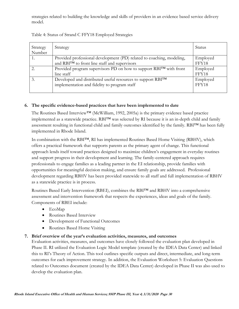strategies related to building the knowledge and skills of providers in an evidence based service delivery model.

| Strategy<br>Number | Strategy                                                                                                                           | Status            |
|--------------------|------------------------------------------------------------------------------------------------------------------------------------|-------------------|
|                    | Provided professional development (PD) related to coaching, modeling,<br>and RBI <sup>TM</sup> to front line staff and supervisors | Employed<br>FFY18 |
|                    | Provided program supervisors PD on how to support RBI™ with front<br>line staff                                                    | Employed<br>FFY18 |
|                    | Developed and distributed useful resources to support RBITM<br>implementation and fidelity to program staff                        | Employed<br>FFY18 |

Table 4: Status of Strand C FFY18 Employed Strategies

## **6. The specific evidence-based practices that have been implemented to date**

The Routines Based Interview™ (McWilliam, 1992, 2005a) is the primary evidence based practice implemented as a statewide practice. RBI™ was selected by RI because it is an in-depth child and family assessment resulting in functional child and family outcomes identified by the family. RBI™ has been fully implemented in Rhode Island.

In combination with the RBI™, RI has implemented Routines Based Home Visiting (RBHV), which offers a practical framework that supports parents as the primary agent of change. This functional approach lends itself toward practices designed to maximize children's engagement in everyday routines and support progress in their development and learning. The family-centered approach requires professionals to engage families as a leading partner in the EI relationship, provide families with opportunities for meaningful decision making, and ensure family goals are addressed. Professional development regarding RBHV has been provided statewide to all staff and full implementation of RBHV as a statewide practice is in process.

Routines Based Early Intervention (RBEI), combines the RBI™ and RBHV into a comprehensive assessment and intervention framework that respects the experiences, ideas and goals of the family. Components of RBEI include:

- EcoMap
- Routines Based Interview
- Development of Functional Outcomes
- Routines Based Home Visiting

## **7. Brief overview of the year's evaluation activities, measures, and outcomes**

Evaluation activities, measures, and outcomes have closely followed the evaluation plan developed in Phase II. RI utilized the Evaluation Logic Model template (created by the IDEA Data Center) and linked this to RI's Theory of Action. This tool outlines specific outputs and direct, intermediate, and long-term outcomes for each improvement strategy. In addition, the Evaluation Worksheet 5: Evaluation Questions related to Outcomes document (created by the IDEA Data Center) developed in Phase II was also used to develop the evaluation plan.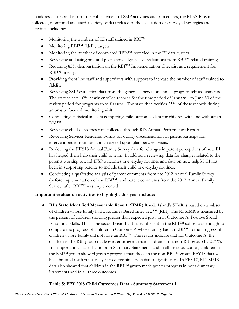To address issues and inform the enhancement of SSIP activities and procedures, the RI SSIP team collected, monitored and used a variety of data related to the evaluation of employed strategies and activities including:

- Monitoring the numbers of EI staff trained in RBI<sup>TM</sup>
- Monitoring RBI<sup>TM</sup> fidelity targets
- Monitoring the number of completed RBIs™ recorded in the EI data system
- Reviewing and using pre- and post-knowledge-based evaluations from RBI™ related trainings
- Requiring 85% demonstration on the RBI™ Implementation Checklist as a requirement for RBI™ fidelity.
- Providing front line staff and supervisors with support to increase the number of staff trained to fidelity.
- Reviewing SSIP evaluation data from the general supervision annual program self-assessments. The state selects 10% newly enrolled records for the time period of January 1 to June 30 of the review period for programs to self-assess. The state then verifies 25% of these records during an on-site focused monitoring visit.
- Conducting statistical analysis comparing child outcomes data for children with and without an RBI™.
- Reviewing child outcomes data collected through RI's Annual Performance Report.
- Reviewing Services Rendered Forms for quality documentation of parent participation, interventions in routines, and an agreed upon plan between visits.
- Reviewing the FFY18 Annual Family Survey data for changes in parent perceptions of how EI has helped them help their child to learn. In addition, reviewing data for changes related to the parents working toward IFSP outcomes in everyday routines and data on how helpful EI has been in supporting parents to include their child in everyday routines.
- Conducting a qualitative analysis of parent comments from the 2012 Annual Family Survey (before implementation of the RBI™) and parent comments from the 2017 Annual Family Survey (after RBI™ was implemented).

## **Important evaluation activities to highlight this year include:**

 **RI's State Identified Measurable Result (SIMR)** Rhode Island's SIMR is based on a subset of children whose family had a Routines Based Interview™ (RBI). The RI SIMR is measured by the percent of children showing greater than expected growth in Outcome A: Positive Social-Emotional Skills. This is the second year that the number (n) in the RBI™ subset was enough to compare the progress of children in Outcome A whose family had an RBI™ to the progress of children whose family did not have an RBI™. The results indicate that for Outcome A, the children in the RBI group made greater progress than children in the non-RBI group by 2.71%. It is important to note that in both Summary Statements and in all three outcomes, children in the RBI™ group showed greater progress than those in the non-RBI™ group. FFY18 data will be submitted for further analysis to determine its statistical significance. In FFY17, RI's SIMR data also showed that children in the RBI™ group made greater progress in both Summary Statements and in all three outcomes.

# **Table 5: FFY 2018 Child Outcomes Data - Summary Statement 1**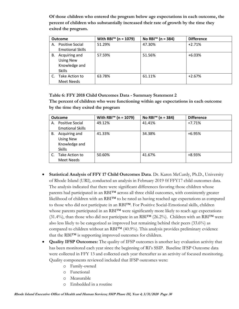**Of those children who entered the program below age expectations in each outcome, the percent of children who substantially increased their rate of growth by the time they exited the program.**

|    | <b>Outcome</b>                                                      | With RBI <sup>™</sup> (n = 1079) | No RBI <sup>™</sup> (n = 384) | <b>Difference</b> |
|----|---------------------------------------------------------------------|----------------------------------|-------------------------------|-------------------|
| А. | <b>Positive Social</b><br><b>Emotional Skills</b>                   | 51.29%                           | 47.30%                        | $+2.71%$          |
| В. | Acquiring and<br><b>Using New</b><br>Knowledge and<br><b>Skills</b> | 57.59%                           | 51.56%                        | $+6.03%$          |
|    | Take Action to<br>Meet Needs                                        | 63.78%                           | 61.11%                        | $+2.67%$          |

## **Table 6: FFY 2018 Child Outcomes Data - Summary Statement 2**

**The percent of children who were functioning within age expectations in each outcome by the time they exited the program**

|    | <b>Outcome</b>          | With RBI <sup>™</sup> (n = 1079) | No RBI <sup>™</sup> (n = 384) | <b>Difference</b> |
|----|-------------------------|----------------------------------|-------------------------------|-------------------|
|    | A. Positive Social      | 49.12%                           | 41.41%                        | $+7.71%$          |
|    | <b>Emotional Skills</b> |                                  |                               |                   |
| В. | Acquiring and           | 41.33%                           | 34.38%                        | $+6.95%$          |
|    | <b>Using New</b>        |                                  |                               |                   |
|    | Knowledge and           |                                  |                               |                   |
|    | <b>Skills</b>           |                                  |                               |                   |
|    | Take Action to          | 50.60%                           | 41.67%                        | $+8.93%$          |
|    | Meet Needs              |                                  |                               |                   |

- **Statistical Analysis of FFY 17 Child Outcomes Data**. Dr. Karen McCurdy, Ph.D., University of Rhode Island (URI), conducted an analysis in February 2019 0f FFY17 child outcomes data. The analysis indicated that there were significant differences favoring those children whose parents had participated in an RBI<sup>TM</sup> across all three child outcomes, with consistently greater likelihood of children with an RBI™ to be rated as having reached age expectations as compared to those who did not participate in an RBI™. For Positive Social-Emotional skills, children whose parents participated in an RBI™ were significantly more likely to reach age expectations (31.4%), than those who did not participate in an RBI<sup>TM</sup> (26.2%). Children with an RBI<sup>TM</sup> were also less likely to be categorized as improved but remaining behind their peers (33.6%) as compared to children without an RBI™ (40.9%). This analysis provides preliminary evidence that the RBI™ is supporting improved outcomes for children.
- **Quality IFSP Outcomes:** The quality of IFSP outcomes is another key evaluation activity that has been monitored each year since the beginning of RI's SSIP. Baseline IFSP Outcome data were collected in FFY 13 and collected each year thereafter as an activity of focused monitoring. Quality components reviewed included that IFSP outcomes were:
	- o Family-owned
	- o Functional
	- o Measurable
	- o Embedded in a routine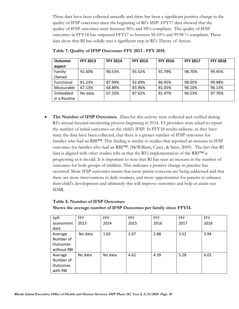These data have been collected annually and there has been a significant positive change in the quality of IFSP outcomes since the beginning of RI's SSIP. FFY17 data showed that the quality of IFSP outcomes were between 96% and 98% compliant. The quality of IFSP outcomes in FFY18 has surpassed FFY17 to between 96.10% and 99.98 % compliant. These data show that RI has solidly met a significant step in RI's Theory of Action.

| Outcome      | <b>FFY 2013</b> | <b>FFY 2014</b> | <b>FFY 2015</b> | <b>FFY 2016</b> | <b>FFY 2017</b> | <b>FFY 2018</b> |
|--------------|-----------------|-----------------|-----------------|-----------------|-----------------|-----------------|
| aspect       |                 |                 |                 |                 |                 |                 |
| Family-      | 91.60%          | 90.53%          | 95.52%          | 91.79%          | 98.70%          | 99.45%          |
| Owned        |                 |                 |                 |                 |                 |                 |
| Functional   | 81.23%          | 87.99%          | 92.69%          | 86.95%          | 98.05%          | 99.98%          |
| Measurable   | 67.13%          | 64.89%          | 83.96%          | 81.05%          | 96.10%          | 96.13%          |
| Embedded     | No data         | 67.32%          | 87.62%          | 81.47%          | 96.53%          | 97.76%          |
| in a Routine |                 |                 |                 |                 |                 |                 |

**Table 7: Quality of IFSP Outcomes FFY 2013 - FFY 2018.**

 **The Number of IFSP Outcomes.** Data for this activity were collected and verified during RI's annual focused monitoring process beginning in 2014. EI providers were asked to report the number of initial outcomes on the child's IFSP. In FFY18 results indicate, as they have since the data have been collected, that there is a greater number of IFSP outcomes for families who had an RBI™. This finding is similar to studies that reported an increase in IFSP outcomes for families who had an RBI™. (McWilliam, Casey, & Sims, 2009). The fact that RI data is aligned with other studies tells us that the RI's implementation of the RBI<sup>TM</sup> is progressing as it should. It is important to note that RI has seen an increase in the number of outcomes for both groups of children. This indicates a positive change in practice has occurred. More IFSP outcomes means that more parent concerns are being addressed and that there are more interventions in daily routines, and more opportunities for parents to enhance their child's development and ultimately this will improve outcomes and help us attain our SIMR.

# **Table 8. Number of IFSP Outcomes Shows the average number of IFSP Outcomes per family since FFY14.**

| Self-           | FFY     | FFY     | <b>FFY</b> | <b>FFY</b> | FFY  | FFY  |
|-----------------|---------|---------|------------|------------|------|------|
| assessment      | 2013    | 2014    | 2015       | 2016       | 2017 | 2018 |
| data            |         |         |            |            |      |      |
| Average         | No data | 1.65    | 2.07       | 2.88       | 3.52 | 3.94 |
| Number of       |         |         |            |            |      |      |
| <b>Outcomes</b> |         |         |            |            |      |      |
| without RBI     |         |         |            |            |      |      |
| Average         | No data | No data | 4.62       | 4.39       | 5.28 | 6.02 |
| Number of       |         |         |            |            |      |      |
| <b>Outcomes</b> |         |         |            |            |      |      |
| with RBI        |         |         |            |            |      |      |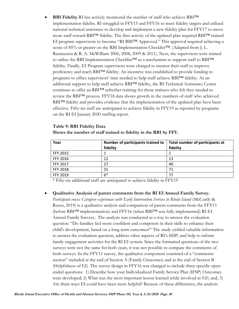**RBI Fidelity** RI has actively monitored the number of staff who achieve RBI™ implementation fidelity. RI struggled in FFY15 and FFY16 to meet fidelity targets and utilized national technical assistance to develop and implement a new fidelity plan for FFY17 to move more staff toward RBI™ fidelity. The first activity of the updated plan required RBI™ trained EI program supervisors to become "RI RBI™ Approved." This approval required achieving a score of 85% or greater on the RBI Implementation Checklist<sup>TM</sup>. (Adapted from J. L. Rasmussen & R. A. McWilliam 2006, 2008, 2009 & 2011). Next, the supervisors were trained to utilize the RBI Implementation Checklist™ as a mechanism to support staff to RBI™ fidelity. Finally, EI Program supervisors were charged to mentor their staff to improve proficiency and reach RBI™ fidelity. An incentive was established to provide funding to programs to offset supervisors' time needed to help staff achieve RBI™ fidelity. As an additional support to help staff achieve RBI™ fidelity, the RI Technical Assistance Center continues to offer an RBI™ refresher training for those trainees who felt they needed to review the RBI™ process. FFY18 data shows growth in the numbers of staff who achieved RBI™ fidelity and provides evidence that the implementation of the updated plan have been effective. Fifty-six staff are anticipated to achieve fidelity in FFY19 as reported by programs on the RI EI January 2020 staffing report.

#### **Table 9: RBI Fidelity Data**

| Year            | Number of participants trained to<br>fidelity | Total number of participants at<br>fidelity |
|-----------------|-----------------------------------------------|---------------------------------------------|
| FFY 2015        |                                               |                                             |
| FFY 2016        | 12                                            | 13                                          |
| FFY 2017        | 27                                            | 40                                          |
| <b>FFY 2018</b> | 31                                            | 71                                          |
| FFY 2019        | $6*$                                          | 77                                          |

**Shows the number of staff trained to fidelity in the RBI by FFY.**

\* Fifty-six additional staff are anticipated to achieve fidelity in FFY19

**Qualitative Analysis of parent comments from the RI EI Annual Family Survey.** 

*Participant voices: Caregiver experiences with Early Intervention Services in Rhode Island* (McCurdy & Russo, 2019) is a qualitative analysis and comparison of parent comments from the FFY11 (before RBI™ implementation) and FFY16 (when RBI™ was fully implemented) RI EI Annual Family Surveys. The analysis was conducted as a way to answer the evaluation question: "Do families feel more confident and competent in their skills to enhance their child's development, based on a long term outcomes?" The study yielded valuable information to answer the evaluation question, address other aspects of RI's SSIP, and help to inform family engagement activities for the RI EI system. Since the formatted questions of the two surveys were not the same for both years, it was not possible to compare the comments of both surveys. In the FFY11 survey, the qualitative component consisted of a "comments section" included at the end of Section A (Family Outcomes) and at the end of Section B (Helpfulness of EI). The survey design in FFY16 was changed to include three specific openended questions: 1) Describe how your Individualized Family Service Plan (IFSP) Outcomes were developed; 2) What was the most important lesson learned while involved in EI?; and, 3) Are there ways EI could have been more helpful? Because of these differences, the analysis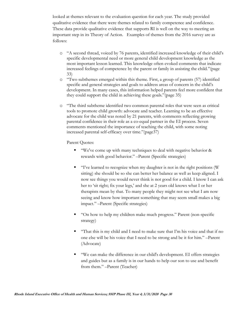looked at themes relevant to the evaluation question for each year. The study provided qualitative evidence that there were themes related to family competence and confidence. These data provide qualitative evidence that supports RI is well on the way to meeting an important step in its Theory of Action. Examples of themes from the 2016 survey are as follows:

- o "A second thread, voiced by 76 parents, identified increased knowledge of their child's specific developmental need or more general child development knowledge as the most important lesson learned. This knowledge often evoked comments that indicate increased feelings of competence by the parent or family in assisting the child."(page 33)
- o "Two subthemes emerged within this theme. First, a group of parents (57) identified specific and general strategies and goals to address areas of concern in the child's development. In many cases, this information helped parents feel more confident that they could support the child in achieving these goals."(page 35)
- o "The third subtheme identified two common parental roles that were seen as critical tools to promote child growth: advocate and teacher. Learning to be an effective advocate for the child was noted by 21 parents, with comments reflecting growing parental confidence in their role as a co-equal partner in the EI process. Seven comments mentioned the importance of teaching the child, with some noting increased parental self-efficacy over time."(page37)

Parent Quotes:

- " "We've come up with many techniques to deal with negative behavior & rewards with good behavior." –Parent (Specific strategies)
- "I've learned to recognize when my daughter is not in the right positions (W sitting) she should be so she can better her balance as well as keep aligned. I now see things you would never think is not good for a child. I know I can ask her to 'sit right; fix your legs,' and she at 2 years old knows what I or her therapists mean by that. To many people they might not see what I am now seeing and know how important something that may seem small makes a big impact." –Parent (Specific strategies)
- "On how to help my children make much progress." Parent (non-specific strategy)
- "That this is my child and I need to make sure that I'm his voice and that if no one else will be his voice that I need to be strong and be it for him." –Parent (Advocate)
- "We can make the difference in our child's development. EI offers strategies and guides but as a family is in our hands to help our son to use and benefit from them." –Parent (Teacher)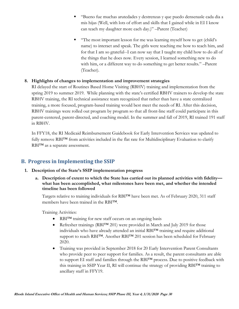- "Bueno fue muchas arutedades y destrenzas y que puedo densenasle cada dia a mis hijas (Well, with lots of effort and skills that I gained while in EI I know can teach my daughter more each day.)" –Parent (Teacher)
- "The most important lesson for me was learning myself how to get (child's name) to interact and speak. The girls were teaching me how to teach him, and for that I am so grateful--I can now say that I taught my child how to do all of the things that he does now. Every session, I learned something new to do with him, or a different way to do something to get better results." –Parent (Teacher).

## **8. Highlights of changes to implementation and improvement strategies**

RI delayed the start of Routines Based Home Visiting (RBHV) training and implementation from the spring 2019 to summer 2019. While planning with the state's certified RBHV trainers to develop the state RBHV training, the RI technical assistance team recognized that rather than have a state centralized training, a more focused, program-based training would best meet the needs of RI. After this decision, RBHV trainings were rolled out program by program so that all front-line staff could participate in this parent-centered, parent-directed, and coaching model. In the summer and fall of 2019, RI trained 191 staff in RBHV.

In FFY18, the RI Medicaid Reimbursement Guidebook for Early Intervention Services was updated to fully remove RBI™ from activities included in the flat rate for Multidisciplinary Evaluation to clarify RBI<sup>TM</sup> as a separate assessment.

# **B. Progress in Implementing the SSIP**

- **1. Description of the State's SSIP implementation progress**
	- **a. Description of extent to which the State has carried out its planned activities with fidelity what has been accomplished, what milestones have been met, and whether the intended timeline has been followed**

Targets relative to training individuals for RBI™ have been met. As of February 2020, 311 staff members have been trained in the RBI™.

Training Activities:

- RBI<sup>TM</sup> training for new staff occurs on an ongoing basis
- Refresher trainings (RBI™ 201) were provided in March and July 2019 for those individuals who have already attended an initial RBI™ training and require additional support to reach RBI™. Another RBI™ 201 session has been scheduled for February 2020.
- Training was provided in September 2018 for 20 Early Intervention Parent Consultants who provide peer to peer support for families. As a result, the parent consultants are able to support EI staff and families through the RBI™ process. Due to positive feedback with this training in SSIP Year II, RI will continue the strategy of providing RBI™ training to ancillary staff in FFY19.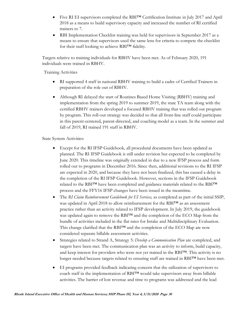- Five RI EI supervisors completed the RBI™ Certification Institute in July 2017 and April 2018 as a means to build supervisory capacity and increased the number of RI certified trainers to 7.
- RBI Implementation Checklist training was held for supervisors in September 2017 as a means to ensure that supervisors used the same lens for criteria to compete the checklist for their staff looking to achieve RBI™ fidelity.

Targets relative to training individuals for RBHV have been met. As of February 2020, 191 individuals were trained in RBHV.

Training Activities

- RI supported 4 staff in national RBHV training to build a cadre of Certified Trainers in preparation of the role out of RBHV.
- Although RI delayed the start of Routines Based Home Visiting (RBHV) training and implementation from the spring 2019 to summer 2019, the state TA team along with the certified RBHV trainers developed a focused RBHV training that was rolled out program by program. This roll-out strategy was decided so that all front-line staff could participate in this parent-centered, parent-directed, and coaching model as a team. In the summer and fall of 2019, RI trained 191 staff in RBHV.

State System Activities:

- Except for the RI IFSP Guidebook, all procedural documents have been updated as planned. The RI IFSP Guidebook is still under revision but expected to be completed by June 2020. This timeline was originally extended in due to a new IFSP process and form rolled out to programs in December 2016. Since then, additional revisions to the RI IFSP are expected in 2020, and because they have not been finalized, this has caused a delay in the completion of the RI IFSP Guidebook. However, sections in the IFSP Guidebook related to the RBI™ have been completed and guidance materials related to the RBI™ process and the FFY16 IFSP changes have been issued in the meantime.
- The *RI Claim Reimbursement Guidebook for EI Services,* as completed as part of the initial SSIP, was updated in April 2018 to allow reimbursement for the RBI™ as an assessment practice rather than an activity related to IFSP development. In July 2019, the guidebook was updated again to remove the RBI™ and the completion of the ECO Map from the bundle of activities included in the flat rates for Intake and Multidisciplinary Evaluation. This change clarified that the RBI™ and the completion of the ECO Map are now considered separate billable assessment activities.
- Strategies related to Strand A, Strategy 5: *Develop a Communication Plan* are completed, and targets have been met*.* The communication plan was an activity to inform, build capacity, and keep interest for providers who were not yet trained in the RBI™. This activity is no longer needed because targets related to ensuring staff are trained in RBI™ have been met.
- EI programs provided feedback indicating concern that the utilization of supervisors to coach staff in the implementation of RBI™ would take supervisors away from billable activities. The barrier of lost revenue and time to programs was addressed and the lead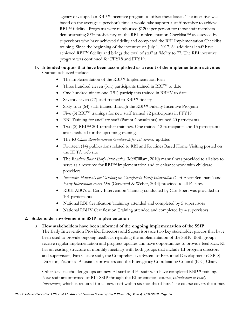agency developed an RBI<sup>TM</sup> incentive program to offset these losses. The incentive was based on the average supervisor's time it would take support a staff member to achieve RBI<sup>TM</sup> fidelity. Programs were reimbursed \$1200 per person for those staff members demonstrating 85% proficiency on the RBI Implementation Checklist<sup>™</sup> as assessed by supervisors who have achieved fidelity and completed the RBI Implementation Checklist training. Since the beginning of the incentive on July 1, 2017, 64 additional staff have achieved RBI™ fidelity and brings the total of staff at fidelity to 77. The RBI incentive program was continued for FFY18 and FFY19.

#### **b. Intended outputs that have been accomplished as a result of the implementation activities** Outputs achieved include:

- The implementation of the RBI<sup>TM</sup> Implementation Plan
- Three hundred eleven (311) participants trained in RBI™ to date
- One hundred ninety-one (191) participants trained in RBHV to date
- Seventy-seven (77) staff trained to RBI<sup>™</sup> fidelity
- Sixty-four (64) staff trained through the RBI™ Fidelity Incentive Program
- Five (5) RBI<sup>TM</sup> trainings for new staff trained 72 participants in FFY18
- RBI Training for ancillary staff (Parent Consultants) trained 20 participants
- Two (2) RBI™ 201 refresher trainings. One trained 12 participants and 15 participants are scheduled for the upcoming training.
- The *RI Claim Reimbursement Guidebook for EI Services* updated
- Fourteen (14) publications related to RBI and Routines Based Home Visiting posted on the EI TA web site
- The *Routines Based Early Intervention* (McWilliam, 2010) manual was provided to all sites to serve as a resource for RBI™ implementation and to enhance work with childcare providers
- Interactive Handouts for Coaching the Caregiver in Early Intervention (Cari Ebert Seminars) and *Early Intervention Every Day* (Crawford & Weber, 2014) provided to all EI sites
- RBEI ABC's of Early Intervention Training conducted by Cari Ebert was provided to 101 participants
- National RBI Certification Trainings attended and completed by 5 supervisors
- National RBHV Certification Training attended and completed by 4 supervisors

## **2. Stakeholder involvement in SSIP implementation**

**a. How stakeholders have been informed of the ongoing implementation of the SSIP**

The Early Intervention Provider Directors and Supervisors are two key stakeholder groups that have been used to provide ongoing feedback regarding the implementation of the SSIP. Both groups receive regular implementation and progress updates and have opportunities to provide feedback. RI has an existing structure of monthly meetings with both groups that include EI program directors and supervisors, Part C state staff, the Comprehensive System of Personnel Development (CSPD) Director, Technical Assistance providers and the Interagency Coordinating Council (ICC) Chair.

Other key stakeholder groups are new EI staff and EI staff who have completed RBITM training. New staff are informed of RI's SSIP through the EI orientation course, *Introduction to Early Intervention,* which is required for all new staff within six months of hire. The course covers the topics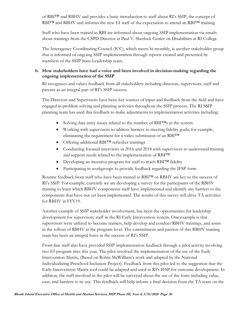of RBI™ and RBHV and provides a basic introduction to staff about RI's SSIP, the concept of RBI<sup>™</sup> and RBHV and informs the new EI staff of the expectation to attend an RBI<sup>™</sup> training.

Staff who have been trained in RBI are informed about ongoing SSIP implementation via emails about trainings from the CSPD Director at Paul V. Sherlock Center on Disabilities at RI College.

The Interagency Coordinating Council (ICC), which meets bi-monthly, is another stakeholder group that is informed of ongoing SSIP implementation through reports created and presented by members of the SSIP State Leadership team.

## **b. How stakeholders have had a voice and been involved in decision-making regarding the ongoing implementation of the SSIP**

RI recognizes and values feedback from all stakeholders including directors, supervisors, staff and parents as an integral part of RI's SSIP success.

The Directors and Supervisors have been key sources of input and feedback from the field and have engaged in problem solving and planning activities throughout the SSIP process. The RI SSIP planning team has used this feedback to make adjustments to implementation activities including:

- Solving data entry issues related to the number of RBI™s in the system
- Working with supervisors to address barriers to meeting fidelity goals; for example, eliminating the requirement for a video submission of an RBI™
- Offering additional RBI™ refresher trainings
- Conducting focused interviews in 2016 and 2018 with supervisors to understand training and support needs related to the implementation of RBI™
- Developing an incentive program for staff to reach RBI™ fidelity
- Participating in workgroups to provide feedback regarding the IFSP form

Routine feedback from staff who have been trained in RBI™ or RBHV are key to the success of RI's SSIP. For example, currently we are developing a survey for the participants of the RBHV training to learn which RBHV components staff have implemented and identify any barriers to the components that have not yet been implemented. The results of this survey will drive TA activities for RBHV in FFY19.

Another example of SSIP stakeholder involvement, has been the opportunities for leadership development for supervisory staff in the RI Early Intervention system. One example is that supervisors were utilized to become trainers, help develop and conduct RBHV trainings, and assist in the rollout of RBHV at the program level. The commitment and passion of this RBHV training team has been an integral force in the success of RI's SSIP.

Front-line staff also have provided SSIP implementation feedback through a pilot activity involving two EI program sites this year. The pilot involved the implementation of the use of the Early Intervention Matrix, (Based on Robin McWilliam's work and adapted by the National Individualizing Preschool Inclusion Project). Feedback from this pilot led to the suggestion that the Early Intervention Matrix tool could be adapted and used in RI's IFSP for outcome development. In addition, the staff involved in the pilot will be surveyed about the use of the form including value, ease, and barriers to its use. This feedback will help inform a final decision from the TA team on the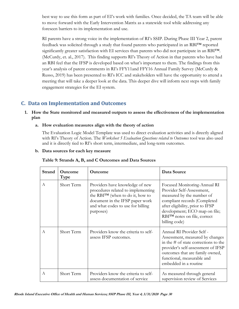best way to use this form as part of EI's work with families. Once decided, the TA team will be able to move forward with the Early Intervention Matrix as a statewide tool while addressing any foreseen barriers to its implementation and use.

RI parents have a strong voice in the implementation of RI's SSIP. During Phase III Year 2, parent feedback was solicited through a study that found parents who participated in an RBI™ reported significantly greater satisfaction with EI services than parents who did not participate in an RBI™. (McCurdy, et. al., 2017). This finding supports RI's Theory of Action in that parents who have had an RBI feel that the IFSP is developed based on what's important to them. The findings from this year's analysis of parent comments in RI's FFY11and FFY16 Annual Family Survey (McCurdy & Russo, 2019) has been presented to RI's ICC and stakeholders will have the opportunity to attend a meeting that will take a deeper look at the data. This deeper dive will inform next steps with family engagement strategies for the EI system.

# **C. Data on Implementation and Outcomes**

## **1. How the State monitored and measured outputs to assess the effectiveness of the implementation plan**

**a. How evaluation measures align with the theory of action**

The Evaluation Logic Model Template was used to direct evaluation activities and is directly aligned with RI's Theory of Action. The *Worksheet 5 Evaluation Questions related to Outcomes* tool was also used and it is directly tied to RI's short term, intermediate, and long-term outcomes.

#### **b. Data sources for each key measure**

| Strand | <b>Outcome</b><br><b>Type</b> | <b>Outcome</b>                                                                                                                                                                                 | Data Source                                                                                                                                                                                                                                  |
|--------|-------------------------------|------------------------------------------------------------------------------------------------------------------------------------------------------------------------------------------------|----------------------------------------------------------------------------------------------------------------------------------------------------------------------------------------------------------------------------------------------|
| A      | Short Term                    | Providers have knowledge of new<br>procedures related to implementing<br>the RBITM (when to do it, how to<br>document in the IFSP paper work<br>and what codes to use for billing<br>purposes) | Focused Monitoring-Annual RI<br>Provider Self-Assessment,<br>measured by the number of<br>compliant records (Completed<br>after eligibility, prior to IFSP<br>development; ECO map on file;<br>RBITM notes on file, correct<br>billing code) |
| А      | Short Term                    | Providers know the criteria to self-<br>assess IFSP outcomes.                                                                                                                                  | Annual RI Provider Self -<br>Assessment, measured by changes<br>in the $#$ of state corrections to the<br>provider's self-assessment of IFSP<br>outcomes that are family owned,<br>functional, measurable and<br>embedded in a routine       |
| A      | Short Term                    | Providers know the criteria to self-<br>assess documentation of service                                                                                                                        | As measured through general<br>supervision review of Services                                                                                                                                                                                |

#### **Table 9: Strands A, B, and C Outcomes and Data Sources**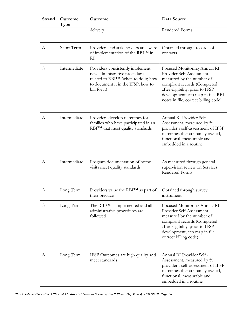| <b>Strand</b> | Outcome<br>Type | Outcome                                                                                                                                                        | Data Source                                                                                                                                                                                                                             |
|---------------|-----------------|----------------------------------------------------------------------------------------------------------------------------------------------------------------|-----------------------------------------------------------------------------------------------------------------------------------------------------------------------------------------------------------------------------------------|
|               |                 | delivery                                                                                                                                                       | Rendered Forms                                                                                                                                                                                                                          |
| А             | Short Term      | Providers and stakeholders are aware<br>of implementation of the RBITM in<br>RI                                                                                | Obtained through records of<br>contacts                                                                                                                                                                                                 |
| А             | Intermediate    | Providers consistently implement<br>new administrative procedures<br>related to RBI™ (when to do it; how<br>to document it in the IFSP; how to<br>bill for it) | Focused Monitoring-Annual RI<br>Provider Self-Assessment,<br>measured by the number of<br>compliant records (Completed<br>after eligibility, prior to IFSP<br>development; eco map in file; RBI<br>notes in file, correct billing code) |
| А             | Intermediate    | Providers develop outcomes for<br>families who have participated in an<br>RBITM that meet quality standards                                                    | Annual RI Provider Self -<br>Assessment, measured by %<br>provider's self-assessment of IFSP<br>outcomes that are family owned,<br>functional, measurable and<br>embedded in a routine                                                  |
| A             | Intermediate    | Program documentation of home<br>visits meet quality standards                                                                                                 | As measured through general<br>supervision review on Services<br><b>Rendered Forms</b>                                                                                                                                                  |
| A             | Long Term       | Providers value the RBI™ as part of<br>their practice                                                                                                          | Obtained through survey<br>instrument                                                                                                                                                                                                   |
| A             | Long Term       | The RBITM is implemented and all<br>administrative procedures are<br>followed                                                                                  | Focused Monitoring-Annual RI<br>Provider Self-Assessment,<br>measured by the number of<br>compliant records (Completed<br>after eligibility, prior to IFSP<br>development; eco map in file;<br>correct billing code)                    |
| А             | Long Term       | IFSP Outcomes are high quality and<br>meet standards                                                                                                           | Annual RI Provider Self -<br>Assessment, measured by $\%$<br>provider's self-assessment of IFSP<br>outcomes that are family owned,<br>functional, measurable and<br>embedded in a routine                                               |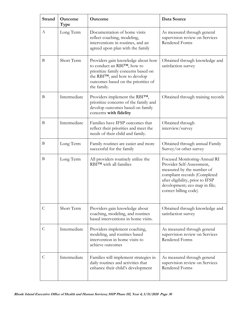| <b>Strand</b> | Outcome<br>Type | Outcome                                                                                                                                                                                                                                                  | Data Source                                                                                                                                                                                                          |  |
|---------------|-----------------|----------------------------------------------------------------------------------------------------------------------------------------------------------------------------------------------------------------------------------------------------------|----------------------------------------------------------------------------------------------------------------------------------------------------------------------------------------------------------------------|--|
| A             | Long Term       | Documentation of home visits<br>As measured through general<br>reflect coaching, modeling,<br>supervision review on Services<br><b>Rendered Forms</b><br>interventions in routines, and an<br>agreed upon plan with the family                           |                                                                                                                                                                                                                      |  |
| B             | Short Term      | Providers gain knowledge about how<br>Obtained through knowledge and<br>to conduct an RBITM, how to<br>satisfaction survey<br>prioritize family concerns based on<br>the RBITM, and how to develop<br>outcomes based on the priorities of<br>the family. |                                                                                                                                                                                                                      |  |
| B             | Intermediate    | Providers implement the RBITM,<br>prioritize concerns of the family and<br>develop outcomes based on family<br>concerns with fidelity                                                                                                                    | Obtained through training records                                                                                                                                                                                    |  |
| B             | Intermediate    | Families have IFSP outcomes that<br>reflect their priorities and meet the<br>needs of their child and family.                                                                                                                                            | Obtained through<br>interview/survey                                                                                                                                                                                 |  |
| B             | Long Term       | Family routines are easier and more<br>successful for the family                                                                                                                                                                                         | Obtained through annual Family<br>Survey/or other survey                                                                                                                                                             |  |
| B             | Long Term       | All providers routinely utilize the<br>RBITM with all families                                                                                                                                                                                           | Focused Monitoring-Annual RI<br>Provider Self-Assessment,<br>measured by the number of<br>compliant records (Completed<br>after eligibility, prior to IFSP<br>development; eco map in file;<br>correct billing code) |  |
| $\mathsf{C}$  | Short Term      | Providers gain knowledge about<br>coaching, modeling, and routines<br>based interventions in home visits.                                                                                                                                                | Obtained through knowledge and<br>satisfaction survey                                                                                                                                                                |  |
| $\mathsf{C}$  | Intermediate    | Providers implement coaching,<br>modeling, and routines based<br>intervention in home visits to<br>achieve outcomes                                                                                                                                      | As measured through general<br>supervision review on Services<br>Rendered Forms                                                                                                                                      |  |
| $\mathsf{C}$  | Intermediate    | Families will implement strategies in<br>daily routines and activities that<br>enhance their child's development                                                                                                                                         | As measured through general<br>supervision review on Services<br>Rendered Forms                                                                                                                                      |  |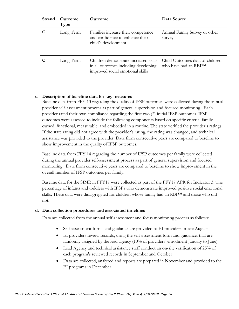| Strand | <b>Outcome</b><br>Type | <b>Outcome</b>                                                                                                    | Data Source                                              |
|--------|------------------------|-------------------------------------------------------------------------------------------------------------------|----------------------------------------------------------|
|        | Long Term              | Families increase their competence<br>and confidence to enhance their<br>child's development                      | Annual Family Survey or other<br>survey                  |
|        | Long Term              | Children demonstrate increased skills<br>in all outcomes including developing<br>improved social emotional skills | Child Outcomes data of children<br>who have had an RBITM |

## **c. Description of baseline data for key measures**

Baseline data from FFY 13 regarding the quality of IFSP outcomes were collected during the annual provider self-assessment process as part of general supervision and focused monitoring. Each provider rated their own compliance regarding the first two (2) initial IFSP outcomes. IFSP outcomes were assessed to include the following components based on specific criteria: family owned, functional, measurable, and embedded in a routine. The state verified the provider's ratings. If the state rating did not agree with the provider's rating, the rating was changed, and technical assistance was provided to the provider. Data from consecutive years are compared to baseline to show improvement in the quality of IFSP outcomes.

Baseline data from FFY 14 regarding the number of IFSP outcomes per family were collected during the annual provider self-assessment process as part of general supervision and focused monitoring. Data from consecutive years are compared to baseline to show improvement in the overall number of IFSP outcomes per family.

Baseline data for the SIMR in FFY17 were collected as part of the FFY17 APR for Indicator 3: The percentage of infants and toddlers with IFSPs who demonstrate improved positive social emotional skills. These data were disaggregated for children whose family had an RBI™ and those who did not.

## **d. Data collection procedures and associated timelines**

Data are collected from the annual self-assessment and focus monitoring process as follows:

- Self-assessment forms and guidance are provided to EI providers in late August
- EI providers review records, using the self-assessment form and guidance, that are randomly assigned by the lead agency (10% of providers' enrollment January to June)
- Lead Agency and technical assistance staff conduct an on-site verification of 25% of each program's reviewed records in September and October
- Data are collected, analyzed and reports are prepared in November and provided to the EI programs in December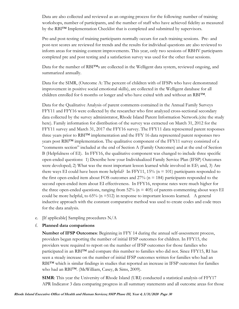Data are also collected and reviewed as an ongoing process for the following: number of training workshops, number of participants, and the number of staff who have achieved fidelity as measured by the RBI™ Implementation Checklist that is completed and submitted by supervisors.

Pre-and post-testing of training participants normally occurs for each training sessions. Pre- and post-test scores are reviewed for trends and the results for individual questions are also reviewed to inform areas for training content improvements. This year, only two sessions of RBHV participants completed pre and post testing and a satisfaction survey was used for the other four sessions.

Data for the number of RBI<sup>TM</sup>s are collected in the Welligent data system, reviewed ongoing, and summarized annually.

Data for the SIMR, (Outcome A: The percent of children with of IFSPs who have demonstrated improvement in positive social emotional skills), are collected in the Welligent database for all children enrolled for 6 months or longer and who have exited with and without an RBI™.

Data for the Qualitative Analysis of parent comments contained in the Annual Family Surveys FFY11 and FFY16 were collected by the researcher who first analyzed cross-sectional secondary data collected by the survey administrator, Rhode Island Parent Information Network.(cite the study here). Family information for distribution of the survey was extracted on March 31, 2012 for the FFY11 survey and March 31, 2017 the FFY16 survey. The FFY11 data represented parent responses three years prior to RBI™ implementation and the FFY 16 data represented parent responses two years post RBI™ implementation. The qualitative component of the FFY11 survey consisted of a "comments section" included at the end of Section A (Family Outcomes) and at the end of Section B (Helpfulness of EI). In FFY16, the qualitative component was changed to include three specific open-ended questions: 1) Describe how your Individualized Family Service Plan (IFSP) Outcomes were developed; 2) What was the most important lesson learned while involved in EI?; and, 3) Are there ways EI could have been more helpful? In FFY11, 15% ( $n = 101$ ) participants responded to the first open-ended item about FOS outcomes and  $27\%$  (n = 184) participants responded to the second open-ended item about EI effectiveness. In FFY16, response rates were much higher for the three open-ended questions, ranging from  $52\%$  (n = 405) of parents commenting about ways EI could be more helpful, to  $65\%$  (n =512) in response to important lessons learned. A general inductive approach with the constant comparative method was used to create codes and code trees for the data analysis.

- e. [If applicable] Sampling procedures N/A
- f. **Planned data comparisons**

**Number of IFSP Outcomes**: Beginning in FFY 14 during the annual self-assessment process, providers began reporting the number of initial IFSP outcomes for children. In FFY15, the providers were required to report on the number of IFSP outcomes for those families who participated in an RBI™ and compare this number to families who did not. Since FFY15, RI has seen a steady increase on the number of initial IFSP outcomes written for families who had an RBI<sup>™</sup> which is similar findings in studies that reported an increase in IFSP outcomes for families who had an RBI™. (McWilliam, Casey, & Sims, 2009).

**SIMR**: This year the University of Rhode Island (URI) conducted a statistical analysis of FFY17 APR Indicator 3 data comparing progress in all summary statements and all outcome areas for those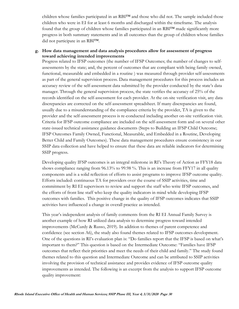children whose families participated in an RBI™ and those who did not. The sample included those children who were in EI for at least 6 months and discharged within the timeframe. The analysis found that the group of children whose families participated in an RBI™ made significantly more progress in both summary statements and in all outcomes than the group of children whose families did not participate in an RBI™.

#### **g. How data management and data analysis procedures allow for assessment of progress toward achieving intended improvements**

Progress related to IFSP outcomes (the number of IFSP Outcomes; the number of changes to selfassessments by the state; and, the percent of outcomes that are compliant with being family owned, functional, measurable and embedded in a routine ) was measured through provider self-assessments as part of the general supervision process. Data management procedures for this process includes an accuracy review of the self-assessment data submitted by the provider conducted by the state's data manager. Through the general supervision process, the state verifies the accuracy of 25% of the records identified on the self-assessment for each provider. At the on-site verification visit, any data discrepancies are corrected on the self-assessment spreadsheet. If many discrepancies are found, usually due to a misunderstanding of the compliance criteria by the provider, TA is given to the provider and the self-assessment process is re-conducted including another on-site verification visit. Criteria for IFSP outcome compliance are included on the self-assessment form and on several other state-issued technical assistance guidance documents (Steps to Building an IFSP Child Outcome; IFSP Outcomes Family Owned, Functional, Measurable, and Embedded in a Routine, Developing Better Child and Family Outcomes). These data management procedures ensure consistency in our SSIP data collection and have helped to ensure that these data are reliable indicators for determining SSIP progress.

Developing quality IFSP outcomes is an integral milestone in RI's Theory of Action as FFY18 data shows compliance ranging from 96.13% to 99.98 %. This is an increase from FFY17 in all quality components and is a solid reflection of efforts to assist programs to improve IFSP outcome quality. Efforts included: continuous TA for providers over the course of SSIP activities, time and commitment by RI EI supervisors to review and support the staff who write IFSP outcomes, and the efforts of front line staff who keep the quality indicators in mind while developing IFSP outcomes with families. This positive change in the quality of IFSP outcomes indicates that SSIP activities have influenced a change in overall practice as intended.

This year's independent analysis of family comments from the RI EI Annual Family Survey is another example of how RI utilized data analysis to determine progress toward intended improvements (McCurdy & Russo, 2019). In addition to themes of parent competence and confidence (see section A6), the study also found themes related to IFSP outcomes development. One of the questions in RI's evaluation plan is: "Do families report that the IFSP is based on what's important to them?" This question is based on the Intermediate Outcome: "Families have IFSP outcomes that reflect their priorities and meet the needs of their child and family." The study found themes related to this question and Intermediate Outcome and can be attributed to SSIP activities involving the provision of technical assistance and provides evidence of IFSP outcome quality improvements as intended. The following is an excerpt from the analysis to support IFSP outcome quality improvement: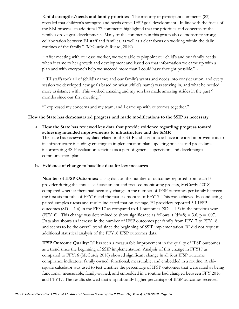**Child strengths/needs and family priorities** The majority of participant comments (83) revealed that children's strengths and needs drove IFSP goal development. In line with the focus of the RBI process, an additional 77 comments highlighted that the priorities and concerns of the families drove goal development. Many of the comments in this group also demonstrate strong collaboration between EI staff and families, as well as a clear focus on working within the daily routines of the family." (McCurdy & Russo, 2019)

"After meeting with our case worker, we were able to pinpoint our child's and our family needs when it came to her growth and development and based on that information we came up with a plan and with everyone's help we succeed more than I could have thought possible." -

"(EI staff) took all of (child's name) and our family's wants and needs into consideration, and every session we developed new goals based on what (child's name) was striving in, and what he needed more assistance with. This worked amazing and my son has made amazing strides in the past 9 months since our first meeting."

"I expressed my concerns and my team, and I came up with outcomes together."

#### **How the State has demonstrated progress and made modifications to the SSIP as necessary**

- **a. How the State has reviewed key data that provide evidence regarding progress toward achieving intended improvements to infrastructure and the SiMR** The state has reviewed key data related to the SSIP and used it to achieve intended improvements to its infrastructure including: creating an implementation plan, updating policies and procedures, incorporating SSIP evaluation activities as a part of general supervision, and developing a communication plan.
- **b. Evidence of change to baseline data for key measures**

**Number of IFSP Outcomes:** Using data on the number of outcomes reported from each EI provider during the annual self-assessment and focused monitoring process, McCurdy (2018) compared whether there had been any change in the number of IFSP outcomes per family between the first six months of FFY16 and the first six months of FFY17. This was achieved by conducting paired samples t-tests and results indicated that on average, EI providers reported 5.1 IFSP outcomes (SD = 1.6) in the FFY17 as compared to 4.1 outcomes (SD = 1.5) in the previous year (FFY16). This change was determined to show significance as follows: t (df=8) = 3.6,  $p = .007$ . Data also shows an increase in the number of IFSP outcomes per family from FFY17 to FFY 18 and seems to be the overall trend since the beginning of SSIP implementation. RI did not request additional statistical analysis of the FFY18 IFSP outcomes data.

**IFSP Outcome Quality:** RI has seen a measurable improvement in the quality of IFSP outcomes as a trend since the beginning of SSIP implementation. Analysis of this change in FFY17 as compared to FFY16 (McCurdy 2018) showed significant change in all four IFSP outcome compliance indicators: family owned, functional, measurable, and embedded in a routine. A chisquare calculator was used to test whether the percentage of IFSP outcomes that were rated as being functional, measurable, family-owned, and embedded in a routine had changed between FFY 2016 and FFY17. The results showed that a significantly higher percentage of IFSP outcomes received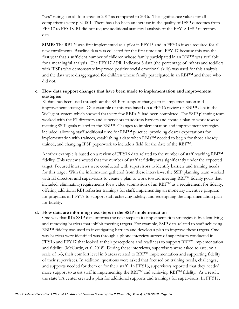"yes" ratings on all four areas in 2017 as compared to 2016. The significance values for all comparisons were  $p \le 0.001$ . There has also been an increase in the quality of IFSP outcomes from FFY17 to FFY18. RI did not request additional statistical analysis of the FFY18 IFSP outcomes data.

**SIMR**: The RBI™ was first implemented as a pilot in FFY15 and in FFY16 it was required for all new enrollments. Baseline data was collected for the first time until FFY 17 because this was the first year that a sufficient number of children whose family participated in an RBI™ was available for a meaningful analysis The FFY17 APR: Indicator 3 data (the percentage of infants and toddlers with IFSPs who demonstrate improved positive social emotional skills) was used for this analysis and the data were disaggregated for children whose family participated in an RBI™ and those who did not.

## **c. How data support changes that have been made to implementation and improvement strategies**

RI data has been used throughout the SSIP to support changes to its implementation and improvement strategies. One example of this was based on a FFY16 review of RBI<sup>TM</sup> data in the Welligent system which showed that very few RBI's™ had been completed. The SSIP planning team worked with the EI directors and supervisors to address barriers and create a plan to work toward meeting SSIP goals related to the RBI™. Changes to implementation and improvement strategies included: allowing staff additional time for RBI™ practice, providing clearer expectations for implementation with trainees, establishing a date when RBIs™ needed to begin for those already trained, and changing IFSP paperwork to include a field for the date of the RBI™.

Another example is based on a review of FFY16 data related to the number of staff reaching RBI™ fidelity. This review showed that the number of staff at fidelity was significantly under the expected target. Focused interviews were conducted with supervisors to identify barriers and training needs for this target. With the information gathered from these interviews, the SSIP planning team worked with EI directors and supervisors to create a plan to work toward meeting RBI™ fidelity goals that included: eliminating requirements for a video submission of an RBI™ as a requirement for fidelity, offering additional RBI refresher trainings for staff, implementing an monetary incentive program for programs in FFY17 to support staff achieving fidelity, and redesigning the implementation plan for fidelity.

#### **d. How data are informing next steps in the SSIP implementation**

One way that RI's SSIP data informs the next steps in its implementation strategies is by identifying and removing barriers that inhibit meeting targets. For example, SSIP data related to staff achieving RBI<sup>™</sup> fidelity was used to investigating barriers and develop a plan to improve these targets. One way barriers were identified was through a phone interview survey of supervisors conducted in FFY16 and FFY17 that looked at their perceptions and readiness to support RBI™ implementation and fidelity. (McCurdy, et.al.,2018). During these interviews, supervisors were asked to rate, on a scale of 1-3, their comfort level in 8 areas related to RBI<sup>TM</sup> implementation and supporting fidelity of their supervisees. In addition, questions were asked that focused on training needs, challenges, and supports needed for them or for their staff. In FFY16, supervisors reported that they needed more support to assist staff in implementing the RBI™ and achieving RBI™ fidelity. As a result, the state TA center created a plan for additional supports and trainings for supervisors. In FFY17,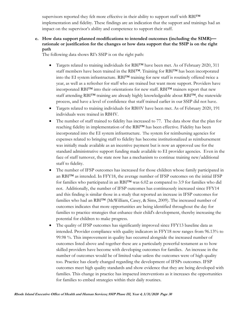supervisors reported they felt more effective in their ability to support staff with RBI™ implementation and fidelity. These findings are an indication that the support and trainings had an impact on the supervisor's ability and competence to support their staff.

## **e. How data support planned modifications to intended outcomes (including the SIMR) rationale or justification for the changes or how data support that the SSIP is on the right path**

The following data shows RI's SSIP is on the right path:

- Targets related to training individuals for RBI™ have been met. As of February 2020, 311 staff members have been trained in the RBI™. Training for RBI™ has been incorporated into the EI system infrastructure. RBI™ training for new staff is routinely offered twice a year, as well as a refresher for staff who are trained but want more support. Providers have incorporated RBI™ into their orientations for new staff. RBI™ trainers report that new staff attending RBI™ training are already highly knowledgeable about RBI™, the statewide process, and have a level of confidence that staff trained earlier in our SSIP did not have.
- Targets related to training individuals for RBHV have been met. As of February 2020, 191 individuals were trained in RBHV.
- The number of staff trained to fidelity has increased to 77. The data show that the plan for reaching fidelity in implementation of the RBI™ has been effective. Fidelity has been incorporated into the EI system infrastructure. The system for reimbursing agencies for expenses related to bringing staff to fidelity has become institutionalized as reimbursement was initially made available as an incentive payment but is now an approved use for the standard administrative support funding made available to EI provider agencies. Even in the face of staff turnover, the state now has a mechanism to continue training new/additional staff to fidelity.
- The number of IFSP outcomes has increased for those children whose family participated in an RBI™ as intended. In FFY18, the average number of IFSP outcomes on the initial IFSP for families who participated in an RBI™ was 6.02 as compared to 3.9 for families who did not. Additionally, the number of IFSP outcomes has continuously increased since FFY14 and this finding is similar those in a study that reported an increase in IFSP outcomes for families who had an RBI™ (McWilliam, Casey, & Sims, 2009). The increased number of outcomes indicates that more opportunities are being identified throughout the day for families to practice strategies that enhance their child's development, thereby increasing the potential for children to make progress.
- The quality of IFSP outcomes has significantly improved since FFY13 baseline data as intended. Provider compliance with quality indicators in FFY18 now ranges from 96.13% to 99.98 %. This improvement in quality has occurred alongside the increased number of outcomes listed above and together these are a particularly powerful testament as to how skilled providers have become with developing outcomes for families. An increase in the number of outcomes would be of limited value unless the outcomes were of high quality too. Practice has clearly changed regarding the development of IFSPs outcomes. IFSP outcomes meet high quality standards and show evidence that they are being developed with families. This change in practice has impacted interventions as it increases the opportunities for families to embed strategies within their daily routines.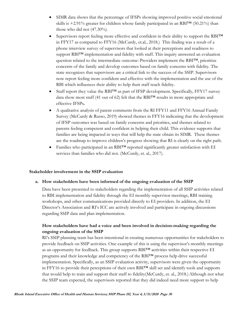- SIMR data shows that the percentage of IFSPs showing improved positive social emotional skills is  $+2.91\%$  greater for children whose family participated in an RBITM (50.21%) than those who did not (47.30%).
- Supervisors report feeling more effective and confident in their ability to support the RBI<sup>TM</sup> in FFY17 as compared to FFY16 (McCurdy, et.al., 2018.) This finding was a result of a phone interview survey of supervisors that looked at their perceptions and readiness to support RBI<sup>™</sup> implementation and fidelity with staff. This inquiry answered an evaluation question related to the intermediate outcome: Providers implement the RBI<sup>™</sup>, prioritize concerns of the family and develop outcomes based on family concerns with fidelity. The state recognizes that supervisors are a critical link to the success of the SSIP. Supervisors now report feeling more confident and effective with the implementation and the use of the RBI which influences their ability to help their staff reach fidelity.
- Staff report they value the RBI<sup>TM</sup> as part of IFSP development. Specifically, FFY17 survey data show most staff (41 out of 62) felt that the RBI™ results in more appropriate and effective IFSPs**.**
- A qualitative analysis of parent comments from the RI FFY11 and FFY16 Annual Family Survey (McCurdy & Russo, 2019) showed themes in FFY16 indicating that the development of IFSP outcomes was based on family concerns and priorities, and themes related to parents feeling competent and confident in helping their child. This evidence supports that families are being impacted in ways that will help the state obtain its SIMR. These themes are the roadmap to improve children's progress showing that RI is clearly on the right path.
- Families who participated in an RBI™ reported significantly greater satisfaction with EI services than families who did not. (McCurdy, et. al., 2017).

#### **Stakeholder involvement in the SSIP evaluation**

#### **a. How stakeholders have been informed of the ongoing evaluation of the SSIP**

Data have been presented to stakeholders regarding the implementation of all SSIP activities related to RBI implementation and fidelity through the EI monthly supervisor meetings, RBI training workshops, and other communications provided directly to EI providers. In addition, the EI Director's Association and RI's ICC are actively involved and participate in ongoing discussions regarding SSIP data and plan implementation.

## **How stakeholders have had a voice and been involved in decision-making regarding the ongoing evaluation of the SSIP**

RI's SSIP planning team has been intentional in creating numerous opportunities for stakeholders to provide feedback on SSIP activities. One example of this is using the supervisor's monthly meetings as an opportunity for feedback. This group supports  $RBI<sup>TM</sup>$  activities within their respective EI programs and their knowledge and competency of the RBI™ process help drive successful implementation. Specifically, as an SSIP evaluation activity, supervisors were given the opportunity in FFY16 to provide their perceptions of their own RBI™ skill set and identify tools and supports that would help to train and support their staff to fidelity(McCurdy, et. al., 2018.)Although not what the SSIP team expected, the supervisors reported that they did indeed need more support to help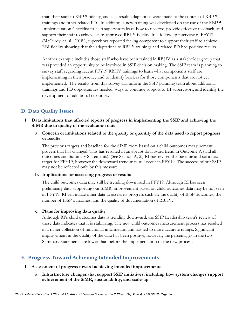train their staff to RBI<sup>™</sup> fidelity, and as a result, adaptations were made to the content of RBI<sup>™</sup> trainings and other related PD. In addition, a new training was developed on the use of the RBI™ Implementation Checklist to help supervisors learn how to observe, provide effective feedback, and support their staff to achieve state-approved RBI™ fidelity. In a follow up interview in FFY17 (McCurdy, et. al., 2018.), supervisors reported feeling competent to support their staff to achieve RBI fidelity showing that the adaptations to RBI™ trainings and related PD had positive results.

Another example includes those staff who have been trained in RBHV as a stakeholder group that was provided an opportunity to be involved in SSIP decision making. The SSIP team is planning to survey staff regarding recent FFY19 RBHV trainings to learn what components staff are implementing in their practice and to identify barriers for those components that are not yet implemented. The results from this survey will inform the SSIP planning team about additional trainings and PD opportunities needed, ways to continue support to EI supervisors, and identify the development of additional resources.

# **D. Data Quality Issues**

### **1. Data limitations that affected reports of progress in implementing the SSIP and achieving the SIMR due to quality of the evaluation data**

#### **a. Concern or limitations related to the quality or quantity of the data used to report progress or results**

The previous targets and baseline for the SIMR were based on a child outcomes measurement process that has changed. This has resulted in an abrupt downward trend in Outcome A (and all outcomes and Summary Statements). (See Section A, 2.) RI has revised the baseline and set a new target for FFY19, however the downward trend may still occur in FFY19. The success of our SSIP may not be reflected only by this measure.

#### **b. Implications for assessing progress or results**

The child outcomes data may still be trending downward in FFY19. Although RI has seen preliminary data supporting our SIMR, improvement based on child outcomes data may be not seen in FFY19. RI can utilize other data to assess its progress such as: the quality of IFSP outcomes, the number of IFSP outcomes, and the quality of documentation of RBHV.

#### **c. Plans for improving data quality**

Although RI's child outcomes data is trending downward, the SSIP Leadership team's review of these data indicates that it is stabilizing. The new child outcomes measurement process has resulted in a richer collection of functional information and has led to more accurate ratings. Significant improvement in the quality of the data has been positive; however, the percentages in the two Summary Statements are lower than before the implementation of the new process.

# **E. Progress Toward Achieving Intended Improvements**

#### **1. Assessment of progress toward achieving intended improvements**

**a. Infrastructure changes that support SSIP initiatives, including how system changes support achievement of the SiMR, sustainability, and scale-up**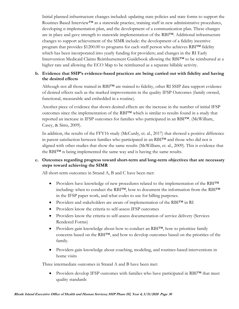Initial planned infrastructure changes included: updating state policies and state forms to support the Routines Based Interview™ as a statewide practice, training staff in new administrative procedures, developing n implementation plan, and the development of a communication plan. These changes are in place and gave strength to statewide implementation of the RBI™. Additional infrastructure changes to support achievement of the SIMR include: the development of a fidelity incentive program that provides \$1200.00 to programs for each staff person who achieves RBI<sup>TM</sup> fidelity which has been incorporated into yearly funding for providers; and changes in the RI Early Intervention Medicaid Claims Reimbursement Guidebook allowing the RBI™ to be reimbursed at a higher rate and allowing the ECO Map to be reimbursed as a separate billable activity.

### **b. Evidence that SSIP's evidence-based practices are being carried out with fidelity and having the desired effects**

Although not all those trained in RBI™ are trained to fidelity, other RI SSIP data support evidence of desired effects such as the marked improvements in the quality IFSP Outcomes (family owned, functional, measurable and embedded in a routine).

Another piece of evidence that shows desired effects are the increase in the number of initial IFSP outcomes since the implementation of the RBI™ which is similar to results found in a study that reported an increase in IFSP outcomes for families who participated in an RBI™. (McWilliam, Casey, & Sims, 2009).

In addition, the results of the FFY16 study (McCurdy, et. al., 2017) that showed a positive difference in parent satisfaction between families who participated in an RBI™ and those who did not is aligned with other studies that show the same results (McWilliam, et. al., 2009). This is evidence that the RBI™ is being implemented the same way and is having the same results.

#### **c. Outcomes regarding progress toward short-term and long-term objectives that are necessary steps toward achieving the SIMR**

All short-term outcomes in Strand A, B and C have been met:

- Providers have knowledge of new procedures related to the implementation of the RBI™ including: when to conduct the RBI™, how to document the information from the RBI™ in the IFSP paper work, and what codes to use for billing purposes.
- Providers and stakeholders are aware of implementation of the RBI™ in RI
- Providers know the criteria to self-assess IFSP outcomes
- Providers know the criteria to self-assess documentation of service delivery (Services Rendered Forms)
- Providers gain knowledge about how to conduct an RBI™, how to prioritize family concerns based on the RBI™, and how to develop outcomes based on the priorities of the family.
- Providers gain knowledge about coaching, modeling, and routines-based interventions in home visits

Three intermediate outcomes in Strand A and B have been met:

 Providers develop IFSP outcomes with families who have participated in RBI™ that meet quality standards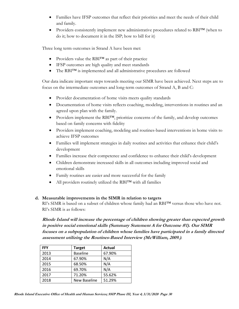- Families have IFSP outcomes that reflect their priorities and meet the needs of their child and family.
- Providers consistently implement new administrative procedures related to RBI™ (when to do it; how to document it in the ISP; how to bill for it)

Three long term outcomes in Strand A have been met:

- Providers value the RBI™ as part of their practice
- IFSP outcomes are high quality and meet standards
- The RBI<sup>TM</sup> is implemented and all administrative procedures are followed

Our data indicate important steps towards meeting our SIMR have been achieved. Next steps are to focus on the intermediate outcomes and long-term outcomes of Strand A, B and C:

- Provider documentation of home visits meets quality standards
- Documentation of home visits reflects coaching, modeling, interventions in routines and an agreed upon plan with the family.
- Providers implement the RBI<sup>TM</sup>, prioritize concerns of the family, and develop outcomes based on family concerns with fidelity
- Providers implement coaching, modeling and routines-based interventions in home visits to achieve IFSP outcomes
- Families will implement strategies in daily routines and activities that enhance their child's development
- Families increase their competence and confidence to enhance their child's development
- Children demonstrate increased skills in all outcomes including improved social and emotional skills
- Family routines are easier and more successful for the family
- All providers routinely utilized the RBI™ with all families

#### **d. Measurable improvements in the SIMR in relation to targets**

RI's SIMR is based on a subset of children whose family had an RBI™ versus those who have not. RI's SIMR is as follows:

**Rhode Island will increase the percentage of children showing greater than expected growth in positive social emotional skills (Summary Statement A for Outcome #1). Our SIMR focuses on a subpopulation of children whose families have participated in a family directed assessment utilizing the Routines-Based Interview (McWilliam, 2009.)**.

| <b>FFY</b> | <b>Target</b>   | Actual |
|------------|-----------------|--------|
| 2013       | <b>Baseline</b> | 67.90% |
| 2014       | 67.90%          | N/A    |
| 2015       | 68.50%          | N/A    |
| 2016       | 69.70%          | N/A    |
| 2017       | 71.20%          | 55.62% |
| 2018       | New Baseline    | 51.29% |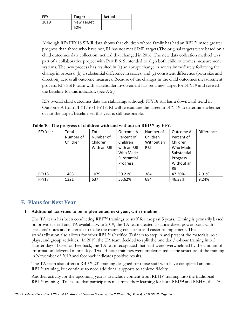| <b>FFY</b> | <b>Target</b> | Actual |
|------------|---------------|--------|
| 2019       | New Target    |        |
|            | 52%           |        |

Although RI's FFY18 SIMR data shows that children whose family has had an RBI<sup>TM</sup> made greater progress than those who have not, RI has not met SIMR targets.The original targets were based on a child outcomes data collection method that changed in 2016. The new data collection method was part of a collaborative project with Part B 619 intended to align both child outcomes measurement systems. The new process has resulted in (a) an abrupt change in scores immediately following the change in process; (b) a substantial difference in scores; and (c) consistent difference (both size and direction) across all outcome measures. Because of the changes in the child outcomes measurement process, RI's SSIP team with stakeholder involvement has set a new target for FFY19 and revised the baseline for this indicator. (See A 2.)

RI's overall child outcomes data are stabilizing, although FFY18 still has a downward trend in Outcome A from FFY17 to FFY18. RI will re-examine the target in FFY 19 to determine whether or not the target/baseline set this year is still reasonable.

| <b>FFY Year</b> | Total     | Total       | Outcome A   | Number of  | Outcome A   | <b>Difference</b> |
|-----------------|-----------|-------------|-------------|------------|-------------|-------------------|
|                 | Number of | Number of   | Percent of  | Children   | Percent of  |                   |
|                 | Children  | Children    | Children    | Without an | Children    |                   |
|                 |           | With an RBI | with an RBI | <b>RBI</b> | Who Made    |                   |
|                 |           |             | Who Made    |            | Substantial |                   |
|                 |           |             | Substantial |            | Progress    |                   |
|                 |           |             | Progress    |            | Without an  |                   |
|                 |           |             |             |            | <b>RBI</b>  |                   |
| FFY18           | 1463      | 1079        | 50.21%      | 384        | 47.30%      | 2.91%             |
| <b>FFY17</b>    | 1321      | 637         | 55.62%      | 684        | 46.38%      | 9.24%             |

**Table 10: The progress of children with and without an RBI™ by FFY.**

# **F. Plans for Next Year**

## **1. Additional activities to be implemented next year, with timeline**

The TA team has been conducting RBI™ trainings to staff for the past 5 years. Timing is primarily based on provider need and TA availability. In 2019, the TA team created a standardized power point with speakers' notes and materials to make the training consistent and easier to implement. This standardization also allows for other RBI™ Certified Trainers to step in and present the materials, role plays, and group activities. In 2019, the TA team decided to split the one day / 6-hour training into 2 shorter days. Based on feedback, the TA team recognized that staff were overwhelmed by the amount of information delivered in one day. Two, 3-hour trainings were implemented as the structure of the training in November of 2019 and feedback indicates positive results.

The TA team also offers a RBI™ 201 training designed for those staff who have completed an initial RBI™ training, but continue to need additional supports to achieve fidelity.

Another activity for the upcoming year is to include content from RBHV training into the traditional RBI™ training. To ensure that participants maximize their learning for both RBI™ and RBHV, the TA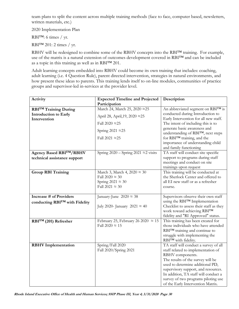team plans to split the content across multiple training methods (face to face, computer based, newsletters, written materials, etc.)

2020 Implementation Plan

RBI™: 6 times / yr.

RBI™ 201: 2 times / yr.

RBHV will be redesigned to combine some of the RBHV concepts into the RBI™ training. For example, use of the matrix is a natural extension of outcomes development covered in RBI™ and can be included as a topic in this training as well as in RBI™ 201.

Adult learning concepts embedded into RBHV could become its own training that includes: coaching, adult learning (i.e. 4 Question Rule), parent directed intervention, strategies in natural environments, and how present these ideas to parents. This training lends itself to on-line modules, communities of practice groups and supervisor-led in-services at the provider level.

| Activity                                     | <b>Expected Timeline and Projected</b>         | Description                                                               |  |
|----------------------------------------------|------------------------------------------------|---------------------------------------------------------------------------|--|
|                                              | Participation                                  |                                                                           |  |
| <b>RBITM Training During</b>                 | March 24, March 25, 2020 ≈25                   | An abbreviated segment on RBI™ is                                         |  |
| <b>Introduction to Early</b><br>Intervention | April 28, April, 19, 2020 ≈25                  | conducted during Introduction to<br>Early Intervention for all new staff. |  |
|                                              | Fall 2020 $\approx$ 25                         | The intent of including this is to                                        |  |
|                                              | Spring 2021 $\approx$ 25                       | generate basic awareness and<br>understanding of RBITM, next steps        |  |
|                                              | Fall 2021 $\approx$ 25                         | for RBITM training, and the                                               |  |
|                                              |                                                | importance of understanding child<br>and family functioning               |  |
| Agency Based RBITM/RBHV                      | Spring $2020 -$ Spring $2021 \approx 2$ visits | TA staff will conduct site specific                                       |  |
| technical assistance support                 |                                                | support to programs during staff                                          |  |
|                                              |                                                | meetings and conduct on site                                              |  |
|                                              |                                                | trainings upon request                                                    |  |
| <b>Group RBI Training</b>                    | March 3, March 4, 2020 $\approx$ 30            | This training will be conducted at                                        |  |
|                                              | Fall $2020 \approx 30$                         | the Sherlock Center and offered to                                        |  |
|                                              | Spring $2021 \approx 30$                       | all EI new staff or as a refresher                                        |  |
|                                              | Fall 2021 $\approx$ 30                         | course.                                                                   |  |
| <b>Increase # of Providers</b>               | January-June $2020 \approx 38$                 | Supervisors observe their own staff                                       |  |
| conducting RBI™ with Fidelity                |                                                | using the RBITM Implementation                                            |  |
|                                              | July 2020- January 2021 $\approx$ 40           | Checklist to assess their staff as they                                   |  |
|                                              |                                                | work toward achieving RBITM                                               |  |
|                                              |                                                | fidelity and "RI Approved" status.                                        |  |
| RBITM (201) Refresher                        | February 25, February 26 2020 $\approx 15$     | This training has been created for                                        |  |
|                                              | Fall $2020 \approx 15$                         | those individuals who have attended                                       |  |
|                                              |                                                | RBI <sup>TM</sup> training and continue to                                |  |
|                                              |                                                | struggle with implementing the                                            |  |
|                                              |                                                | RBI™ with fidelity.                                                       |  |
| <b>RBHV</b> Implementation                   | Spring/Fall 2020                               | TA staff will conduct a survey of all                                     |  |
|                                              | Fall 2020/Spring 2021                          | staff related to implementation of                                        |  |
|                                              |                                                | RBHV components.                                                          |  |
|                                              |                                                | The results of the survey will be                                         |  |
|                                              |                                                | used to determine additional PD,                                          |  |
|                                              |                                                | supervisory support, and resources.                                       |  |
|                                              |                                                | In addition, TA staff will conduct a                                      |  |
|                                              |                                                | survey of two programs piloting use<br>of the Early Intervention Matrix.  |  |
|                                              |                                                |                                                                           |  |